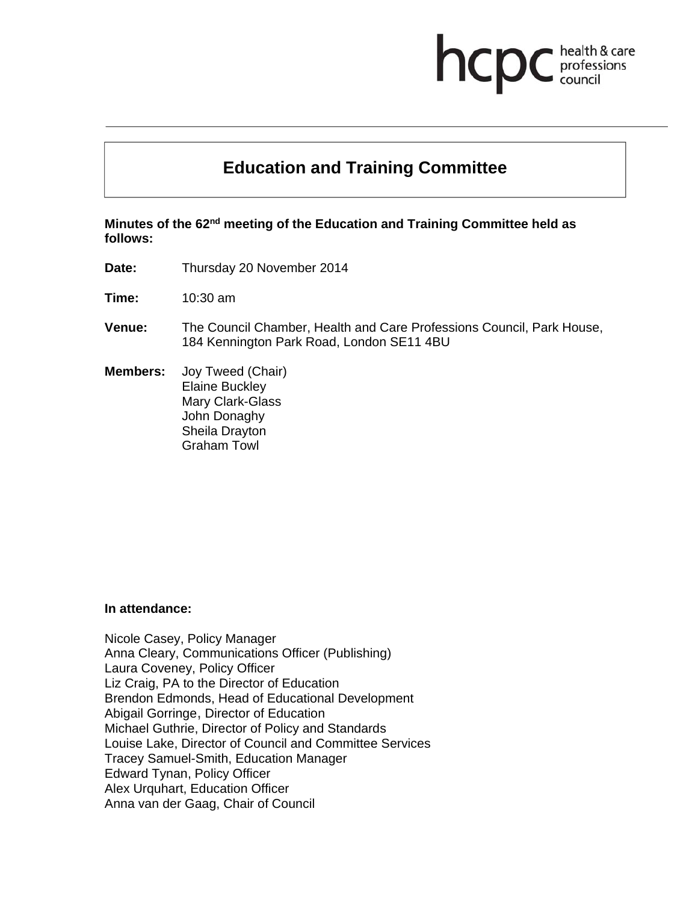### health & care hcp professions<br>council

# **Education and Training Committee**

**Minutes of the 62nd meeting of the Education and Training Committee held as follows:** 

**Date:** Thursday 20 November 2014

**Time:** 10:30 am

- **Venue:** The Council Chamber, Health and Care Professions Council, Park House, 184 Kennington Park Road, London SE11 4BU
- **Members:** Joy Tweed (Chair) Elaine Buckley Mary Clark-Glass John Donaghy Sheila Drayton Graham Towl

## **In attendance:**

Nicole Casey, Policy Manager Anna Cleary, Communications Officer (Publishing) Laura Coveney, Policy Officer Liz Craig, PA to the Director of Education Brendon Edmonds, Head of Educational Development Abigail Gorringe, Director of Education Michael Guthrie, Director of Policy and Standards Louise Lake, Director of Council and Committee Services Tracey Samuel-Smith, Education Manager Edward Tynan, Policy Officer Alex Urquhart, Education Officer Anna van der Gaag, Chair of Council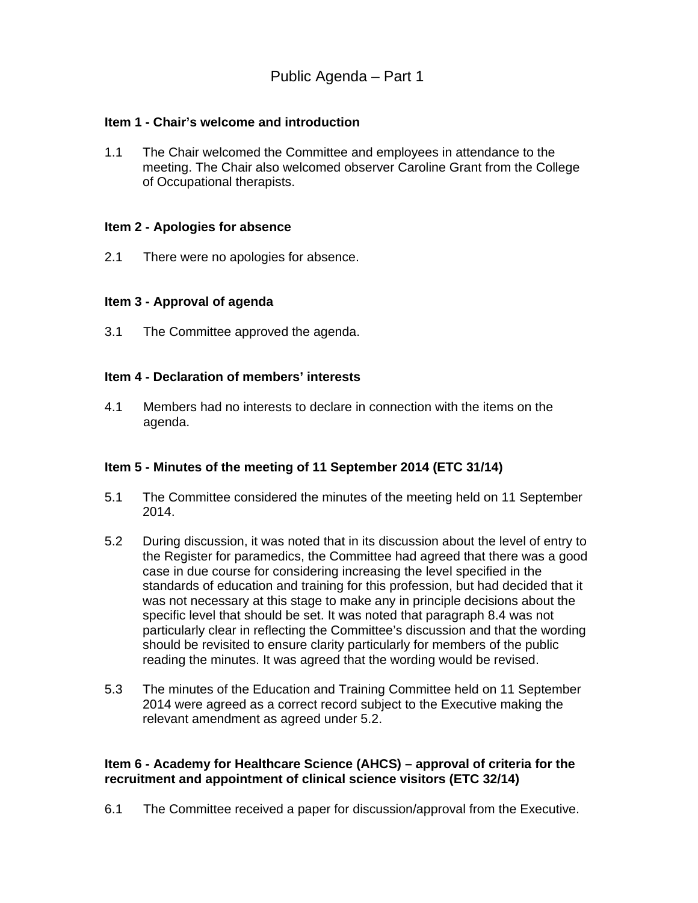#### **Item 1 - Chair's welcome and introduction**

1.1 The Chair welcomed the Committee and employees in attendance to the meeting. The Chair also welcomed observer Caroline Grant from the College of Occupational therapists.

#### **Item 2 - Apologies for absence**

2.1 There were no apologies for absence.

#### **Item 3 - Approval of agenda**

3.1 The Committee approved the agenda.

#### **Item 4 - Declaration of members' interests**

4.1 Members had no interests to declare in connection with the items on the agenda.

#### **Item 5 - Minutes of the meeting of 11 September 2014 (ETC 31/14)**

- 5.1 The Committee considered the minutes of the meeting held on 11 September 2014.
- 5.2 During discussion, it was noted that in its discussion about the level of entry to the Register for paramedics, the Committee had agreed that there was a good case in due course for considering increasing the level specified in the standards of education and training for this profession, but had decided that it was not necessary at this stage to make any in principle decisions about the specific level that should be set. It was noted that paragraph 8.4 was not particularly clear in reflecting the Committee's discussion and that the wording should be revisited to ensure clarity particularly for members of the public reading the minutes. It was agreed that the wording would be revised.
- 5.3 The minutes of the Education and Training Committee held on 11 September 2014 were agreed as a correct record subject to the Executive making the relevant amendment as agreed under 5.2.

#### **Item 6 - Academy for Healthcare Science (AHCS) – approval of criteria for the recruitment and appointment of clinical science visitors (ETC 32/14)**

6.1 The Committee received a paper for discussion/approval from the Executive.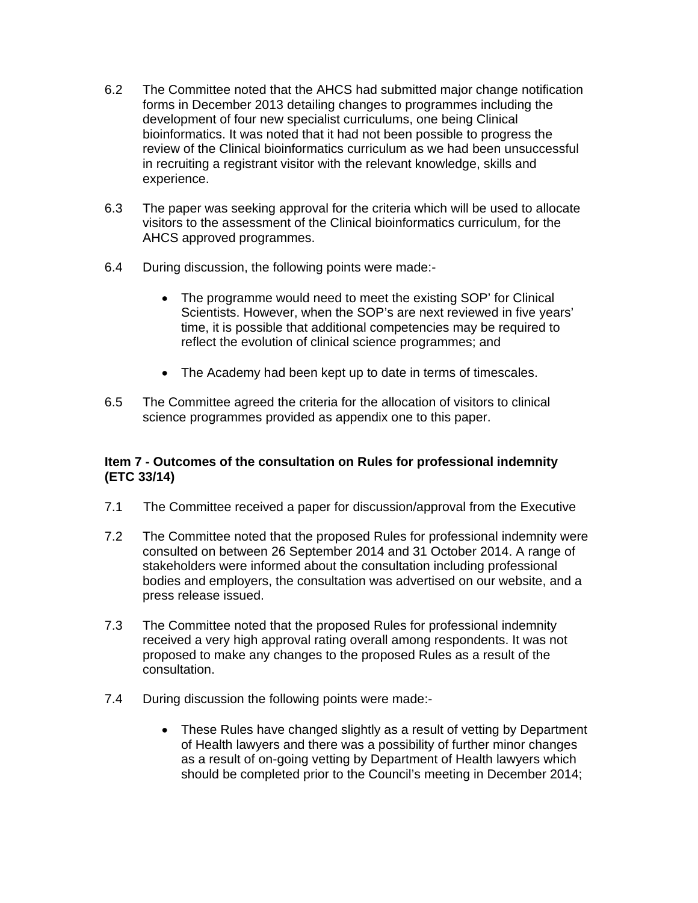- 6.2 The Committee noted that the AHCS had submitted major change notification forms in December 2013 detailing changes to programmes including the development of four new specialist curriculums, one being Clinical bioinformatics. It was noted that it had not been possible to progress the review of the Clinical bioinformatics curriculum as we had been unsuccessful in recruiting a registrant visitor with the relevant knowledge, skills and experience.
- 6.3 The paper was seeking approval for the criteria which will be used to allocate visitors to the assessment of the Clinical bioinformatics curriculum, for the AHCS approved programmes.
- 6.4 During discussion, the following points were made:-
	- The programme would need to meet the existing SOP' for Clinical Scientists. However, when the SOP's are next reviewed in five years' time, it is possible that additional competencies may be required to reflect the evolution of clinical science programmes; and
	- The Academy had been kept up to date in terms of timescales.
- 6.5 The Committee agreed the criteria for the allocation of visitors to clinical science programmes provided as appendix one to this paper.

#### **Item 7 - Outcomes of the consultation on Rules for professional indemnity (ETC 33/14)**

- 7.1 The Committee received a paper for discussion/approval from the Executive
- 7.2 The Committee noted that the proposed Rules for professional indemnity were consulted on between 26 September 2014 and 31 October 2014. A range of stakeholders were informed about the consultation including professional bodies and employers, the consultation was advertised on our website, and a press release issued.
- 7.3 The Committee noted that the proposed Rules for professional indemnity received a very high approval rating overall among respondents. It was not proposed to make any changes to the proposed Rules as a result of the consultation.
- 7.4 During discussion the following points were made:-
	- These Rules have changed slightly as a result of vetting by Department of Health lawyers and there was a possibility of further minor changes as a result of on-going vetting by Department of Health lawyers which should be completed prior to the Council's meeting in December 2014;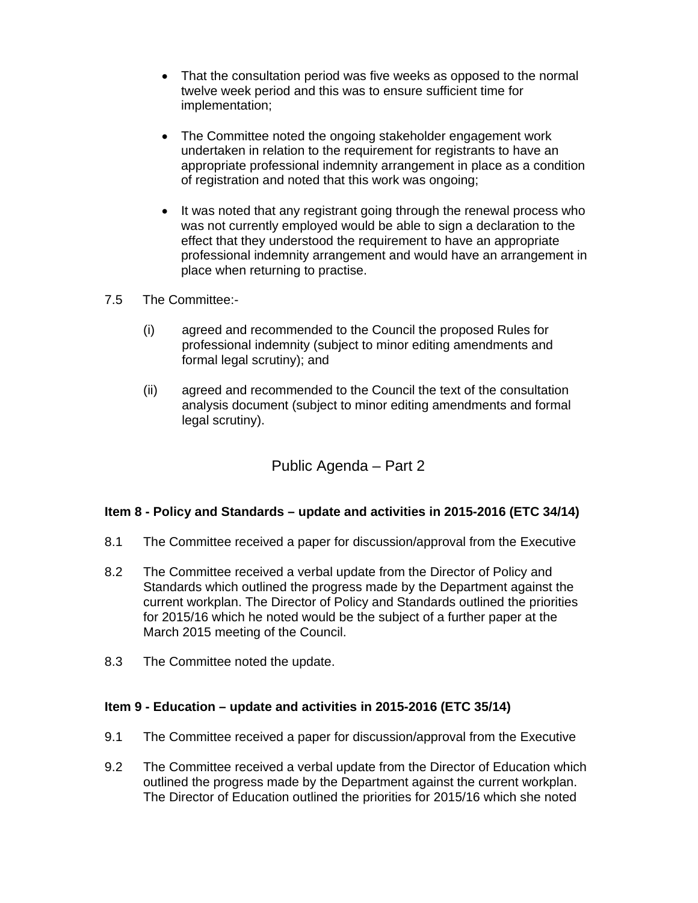- That the consultation period was five weeks as opposed to the normal twelve week period and this was to ensure sufficient time for implementation;
- The Committee noted the ongoing stakeholder engagement work undertaken in relation to the requirement for registrants to have an appropriate professional indemnity arrangement in place as a condition of registration and noted that this work was ongoing;
- It was noted that any registrant going through the renewal process who was not currently employed would be able to sign a declaration to the effect that they understood the requirement to have an appropriate professional indemnity arrangement and would have an arrangement in place when returning to practise.
- 7.5 The Committee:-
	- (i) agreed and recommended to the Council the proposed Rules for professional indemnity (subject to minor editing amendments and formal legal scrutiny); and
	- (ii) agreed and recommended to the Council the text of the consultation analysis document (subject to minor editing amendments and formal legal scrutiny).

# Public Agenda – Part 2

#### **Item 8 - Policy and Standards – update and activities in 2015-2016 (ETC 34/14)**

- 8.1 The Committee received a paper for discussion/approval from the Executive
- 8.2 The Committee received a verbal update from the Director of Policy and Standards which outlined the progress made by the Department against the current workplan. The Director of Policy and Standards outlined the priorities for 2015/16 which he noted would be the subject of a further paper at the March 2015 meeting of the Council.
- 8.3 The Committee noted the update.

#### **Item 9 - Education – update and activities in 2015-2016 (ETC 35/14)**

- 9.1 The Committee received a paper for discussion/approval from the Executive
- 9.2 The Committee received a verbal update from the Director of Education which outlined the progress made by the Department against the current workplan. The Director of Education outlined the priorities for 2015/16 which she noted